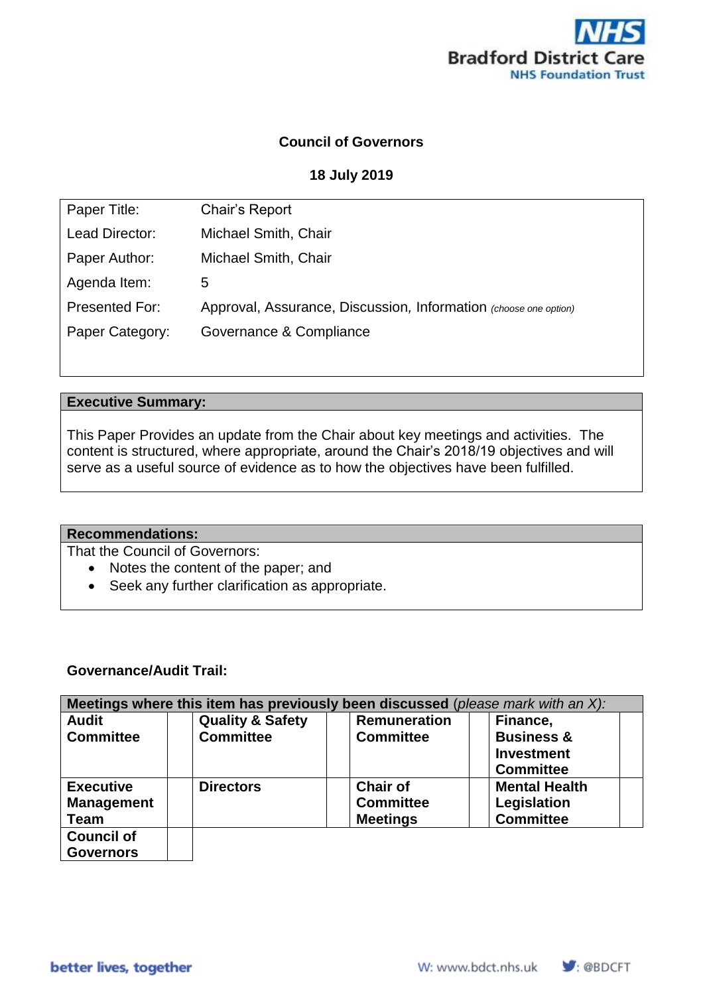

# **Council of Governors**

#### **18 July 2019**

| Chair's Report                                                   |
|------------------------------------------------------------------|
| Michael Smith, Chair                                             |
| Michael Smith, Chair                                             |
| 5                                                                |
| Approval, Assurance, Discussion, Information (choose one option) |
| Governance & Compliance                                          |
|                                                                  |

#### **Executive Summary:**

This Paper Provides an update from the Chair about key meetings and activities. The content is structured, where appropriate, around the Chair's 2018/19 objectives and will serve as a useful source of evidence as to how the objectives have been fulfilled.

#### **Recommendations:**

That the Council of Governors:

- Notes the content of the paper; and
- Seek any further clarification as appropriate.

#### **Governance/Audit Trail:**

| Meetings where this item has previously been discussed (please mark with an X): |                             |                     |                       |
|---------------------------------------------------------------------------------|-----------------------------|---------------------|-----------------------|
| <b>Audit</b>                                                                    | <b>Quality &amp; Safety</b> | <b>Remuneration</b> | Finance,              |
| <b>Committee</b>                                                                | <b>Committee</b>            | <b>Committee</b>    | <b>Business &amp;</b> |
|                                                                                 |                             |                     | <b>Investment</b>     |
|                                                                                 |                             |                     | <b>Committee</b>      |
| <b>Executive</b>                                                                | <b>Directors</b>            | <b>Chair of</b>     | <b>Mental Health</b>  |
| <b>Management</b>                                                               |                             | <b>Committee</b>    | Legislation           |
| <b>Team</b>                                                                     |                             | <b>Meetings</b>     | <b>Committee</b>      |
| <b>Council of</b>                                                               |                             |                     |                       |
| <b>Governors</b>                                                                |                             |                     |                       |

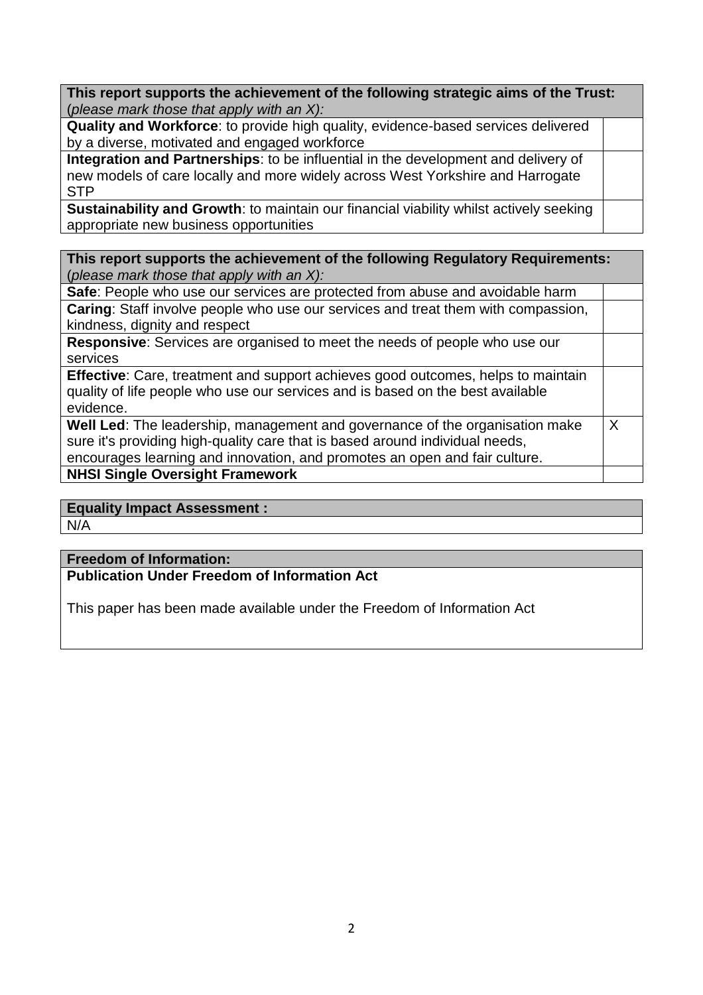**This report supports the achievement of the following strategic aims of the Trust:**  (*please mark those that apply with an X):*

**Quality and Workforce**: to provide high quality, evidence-based services delivered by a diverse, motivated and engaged workforce

**Integration and Partnerships**: to be influential in the development and delivery of new models of care locally and more widely across West Yorkshire and Harrogate STP

**Sustainability and Growth**: to maintain our financial viability whilst actively seeking appropriate new business opportunities

**This report supports the achievement of the following Regulatory Requirements:**  (*please mark those that apply with an X):*

**Safe**: People who use our services are protected from abuse and avoidable harm **Caring**: Staff involve people who use our services and treat them with compassion, kindness, dignity and respect

**Responsive**: Services are organised to meet the needs of people who use our services

| <b>Effective:</b> Care, treatment and support achieves good outcomes, helps to maintain |  |
|-----------------------------------------------------------------------------------------|--|
| quality of life people who use our services and is based on the best available          |  |
| evidence.                                                                               |  |

| Well Led: The leadership, management and governance of the organisation make |  |
|------------------------------------------------------------------------------|--|
| sure it's providing high-quality care that is based around individual needs, |  |
| encourages learning and innovation, and promotes an open and fair culture.   |  |
| <b>NHSI Single Oversight Framework</b>                                       |  |

# **Equality Impact Assessment :**

N/A

## **Freedom of Information:**

**Publication Under Freedom of Information Act** 

This paper has been made available under the Freedom of Information Act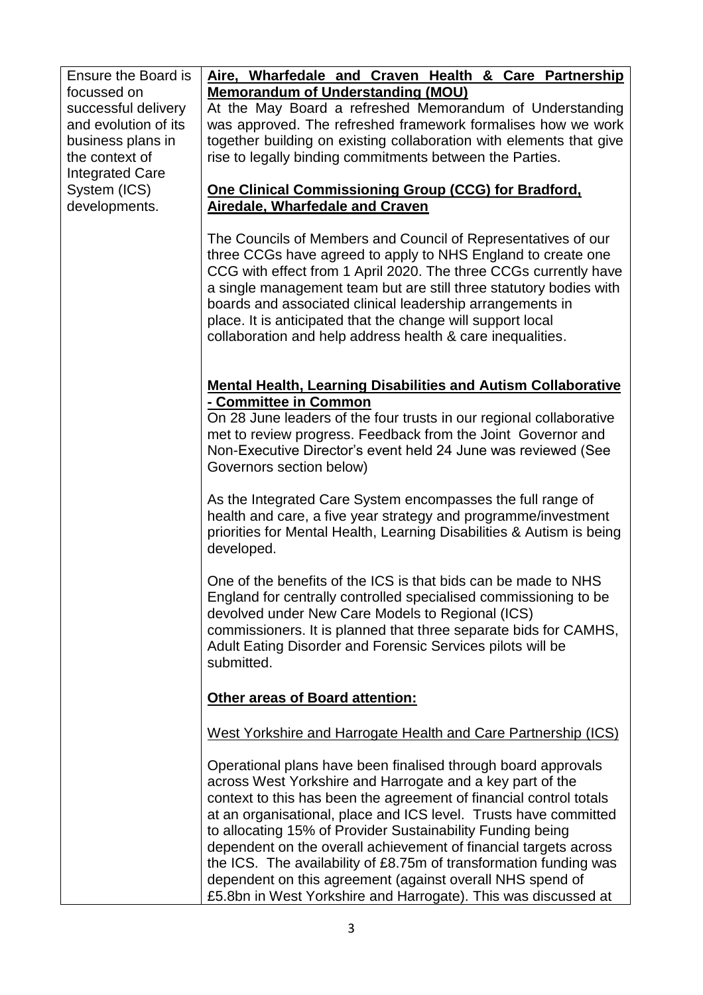| Ensure the Board is<br>focussed on<br>successful delivery<br>and evolution of its<br>business plans in<br>the context of<br><b>Integrated Care</b><br>System (ICS)<br>developments. | Aire, Wharfedale and Craven Health & Care Partnership<br><b>Memorandum of Understanding (MOU)</b><br>At the May Board a refreshed Memorandum of Understanding<br>was approved. The refreshed framework formalises how we work<br>together building on existing collaboration with elements that give<br>rise to legally binding commitments between the Parties.<br>One Clinical Commissioning Group (CCG) for Bradford,<br><b>Airedale, Wharfedale and Craven</b>                                                                                                                                         |
|-------------------------------------------------------------------------------------------------------------------------------------------------------------------------------------|------------------------------------------------------------------------------------------------------------------------------------------------------------------------------------------------------------------------------------------------------------------------------------------------------------------------------------------------------------------------------------------------------------------------------------------------------------------------------------------------------------------------------------------------------------------------------------------------------------|
|                                                                                                                                                                                     | The Councils of Members and Council of Representatives of our<br>three CCGs have agreed to apply to NHS England to create one<br>CCG with effect from 1 April 2020. The three CCGs currently have<br>a single management team but are still three statutory bodies with<br>boards and associated clinical leadership arrangements in<br>place. It is anticipated that the change will support local<br>collaboration and help address health & care inequalities.                                                                                                                                          |
|                                                                                                                                                                                     | <b>Mental Health, Learning Disabilities and Autism Collaborative</b><br>- Committee in Common<br>On 28 June leaders of the four trusts in our regional collaborative<br>met to review progress. Feedback from the Joint Governor and<br>Non-Executive Director's event held 24 June was reviewed (See<br>Governors section below)                                                                                                                                                                                                                                                                          |
|                                                                                                                                                                                     | As the Integrated Care System encompasses the full range of<br>health and care, a five year strategy and programme/investment<br>priorities for Mental Health, Learning Disabilities & Autism is being<br>developed.                                                                                                                                                                                                                                                                                                                                                                                       |
|                                                                                                                                                                                     | One of the benefits of the ICS is that bids can be made to NHS<br>England for centrally controlled specialised commissioning to be<br>devolved under New Care Models to Regional (ICS)<br>commissioners. It is planned that three separate bids for CAMHS,<br>Adult Eating Disorder and Forensic Services pilots will be<br>submitted.                                                                                                                                                                                                                                                                     |
|                                                                                                                                                                                     | <b>Other areas of Board attention:</b>                                                                                                                                                                                                                                                                                                                                                                                                                                                                                                                                                                     |
|                                                                                                                                                                                     | West Yorkshire and Harrogate Health and Care Partnership (ICS)                                                                                                                                                                                                                                                                                                                                                                                                                                                                                                                                             |
|                                                                                                                                                                                     | Operational plans have been finalised through board approvals<br>across West Yorkshire and Harrogate and a key part of the<br>context to this has been the agreement of financial control totals<br>at an organisational, place and ICS level. Trusts have committed<br>to allocating 15% of Provider Sustainability Funding being<br>dependent on the overall achievement of financial targets across<br>the ICS. The availability of £8.75m of transformation funding was<br>dependent on this agreement (against overall NHS spend of<br>£5.8bn in West Yorkshire and Harrogate). This was discussed at |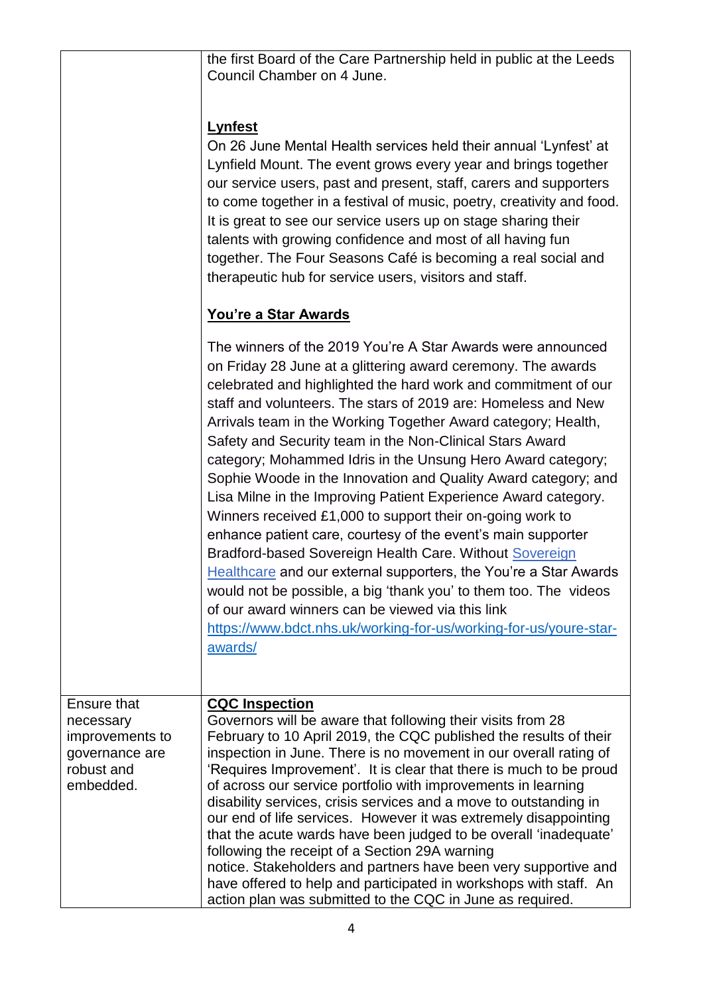|                                                                                                 | the first Board of the Care Partnership held in public at the Leeds<br>Council Chamber on 4 June.<br><b>Lynfest</b><br>On 26 June Mental Health services held their annual 'Lynfest' at<br>Lynfield Mount. The event grows every year and brings together<br>our service users, past and present, staff, carers and supporters<br>to come together in a festival of music, poetry, creativity and food.<br>It is great to see our service users up on stage sharing their<br>talents with growing confidence and most of all having fun<br>together. The Four Seasons Café is becoming a real social and<br>therapeutic hub for service users, visitors and staff.<br><b>You're a Star Awards</b>                                                                                                                                                                                                                                                                                                                                                                  |
|-------------------------------------------------------------------------------------------------|--------------------------------------------------------------------------------------------------------------------------------------------------------------------------------------------------------------------------------------------------------------------------------------------------------------------------------------------------------------------------------------------------------------------------------------------------------------------------------------------------------------------------------------------------------------------------------------------------------------------------------------------------------------------------------------------------------------------------------------------------------------------------------------------------------------------------------------------------------------------------------------------------------------------------------------------------------------------------------------------------------------------------------------------------------------------|
|                                                                                                 | The winners of the 2019 You're A Star Awards were announced<br>on Friday 28 June at a glittering award ceremony. The awards<br>celebrated and highlighted the hard work and commitment of our<br>staff and volunteers. The stars of 2019 are: Homeless and New<br>Arrivals team in the Working Together Award category; Health,<br>Safety and Security team in the Non-Clinical Stars Award<br>category; Mohammed Idris in the Unsung Hero Award category;<br>Sophie Woode in the Innovation and Quality Award category; and<br>Lisa Milne in the Improving Patient Experience Award category.<br>Winners received £1,000 to support their on-going work to<br>enhance patient care, courtesy of the event's main supporter<br>Bradford-based Sovereign Health Care. Without Sovereign<br>Healthcare and our external supporters, the You're a Star Awards<br>would not be possible, a big 'thank you' to them too. The videos<br>of our award winners can be viewed via this link<br>https://www.bdct.nhs.uk/working-for-us/working-for-us/youre-star-<br>awards/ |
| <b>Ensure that</b><br>necessary<br>improvements to<br>governance are<br>robust and<br>embedded. | <b>CQC Inspection</b><br>Governors will be aware that following their visits from 28<br>February to 10 April 2019, the CQC published the results of their<br>inspection in June. There is no movement in our overall rating of<br>'Requires Improvement'. It is clear that there is much to be proud<br>of across our service portfolio with improvements in learning<br>disability services, crisis services and a move to outstanding in<br>our end of life services. However it was extremely disappointing<br>that the acute wards have been judged to be overall 'inadequate'<br>following the receipt of a Section 29A warning<br>notice. Stakeholders and partners have been very supportive and<br>have offered to help and participated in workshops with staff. An<br>action plan was submitted to the CQC in June as required.                                                                                                                                                                                                                          |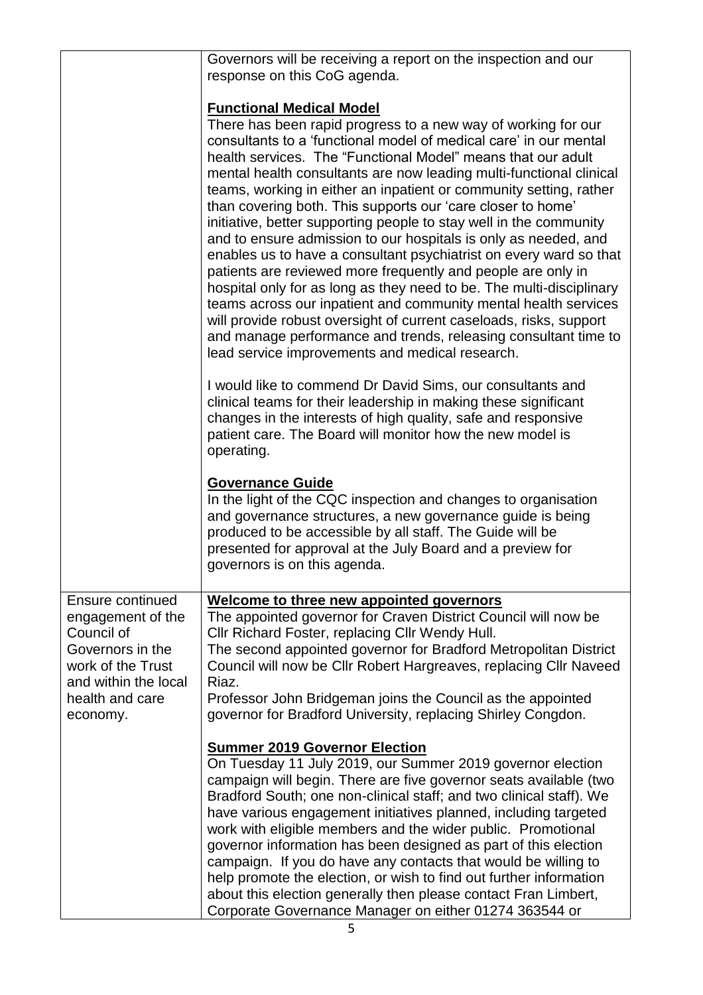|                                                                                                                                                            | Governors will be receiving a report on the inspection and our<br>response on this CoG agenda.                                                                                                                                                                                                                                                                                                                                                                                                                                                                                                                                                                                                                                                                                                                                                                                                                                                                                                                                                                          |
|------------------------------------------------------------------------------------------------------------------------------------------------------------|-------------------------------------------------------------------------------------------------------------------------------------------------------------------------------------------------------------------------------------------------------------------------------------------------------------------------------------------------------------------------------------------------------------------------------------------------------------------------------------------------------------------------------------------------------------------------------------------------------------------------------------------------------------------------------------------------------------------------------------------------------------------------------------------------------------------------------------------------------------------------------------------------------------------------------------------------------------------------------------------------------------------------------------------------------------------------|
|                                                                                                                                                            | <b>Functional Medical Model</b><br>There has been rapid progress to a new way of working for our<br>consultants to a 'functional model of medical care' in our mental<br>health services. The "Functional Model" means that our adult<br>mental health consultants are now leading multi-functional clinical<br>teams, working in either an inpatient or community setting, rather<br>than covering both. This supports our 'care closer to home'<br>initiative, better supporting people to stay well in the community<br>and to ensure admission to our hospitals is only as needed, and<br>enables us to have a consultant psychiatrist on every ward so that<br>patients are reviewed more frequently and people are only in<br>hospital only for as long as they need to be. The multi-disciplinary<br>teams across our inpatient and community mental health services<br>will provide robust oversight of current caseloads, risks, support<br>and manage performance and trends, releasing consultant time to<br>lead service improvements and medical research. |
|                                                                                                                                                            | I would like to commend Dr David Sims, our consultants and<br>clinical teams for their leadership in making these significant<br>changes in the interests of high quality, safe and responsive<br>patient care. The Board will monitor how the new model is<br>operating.                                                                                                                                                                                                                                                                                                                                                                                                                                                                                                                                                                                                                                                                                                                                                                                               |
|                                                                                                                                                            | <b>Governance Guide</b><br>In the light of the CQC inspection and changes to organisation<br>and governance structures, a new governance guide is being<br>produced to be accessible by all staff. The Guide will be<br>presented for approval at the July Board and a preview for<br>governors is on this agenda.                                                                                                                                                                                                                                                                                                                                                                                                                                                                                                                                                                                                                                                                                                                                                      |
| <b>Ensure continued</b><br>engagement of the<br>Council of<br>Governors in the<br>work of the Trust<br>and within the local<br>health and care<br>economy. | Welcome to three new appointed governors<br>The appointed governor for Craven District Council will now be<br>Cllr Richard Foster, replacing Cllr Wendy Hull.<br>The second appointed governor for Bradford Metropolitan District<br>Council will now be Cllr Robert Hargreaves, replacing Cllr Naveed<br>Riaz.<br>Professor John Bridgeman joins the Council as the appointed<br>governor for Bradford University, replacing Shirley Congdon.                                                                                                                                                                                                                                                                                                                                                                                                                                                                                                                                                                                                                          |
|                                                                                                                                                            | <b>Summer 2019 Governor Election</b><br>On Tuesday 11 July 2019, our Summer 2019 governor election<br>campaign will begin. There are five governor seats available (two<br>Bradford South; one non-clinical staff; and two clinical staff). We<br>have various engagement initiatives planned, including targeted<br>work with eligible members and the wider public. Promotional<br>governor information has been designed as part of this election<br>campaign. If you do have any contacts that would be willing to<br>help promote the election, or wish to find out further information<br>about this election generally then please contact Fran Limbert,<br>Corporate Governance Manager on either 01274 363544 or                                                                                                                                                                                                                                                                                                                                               |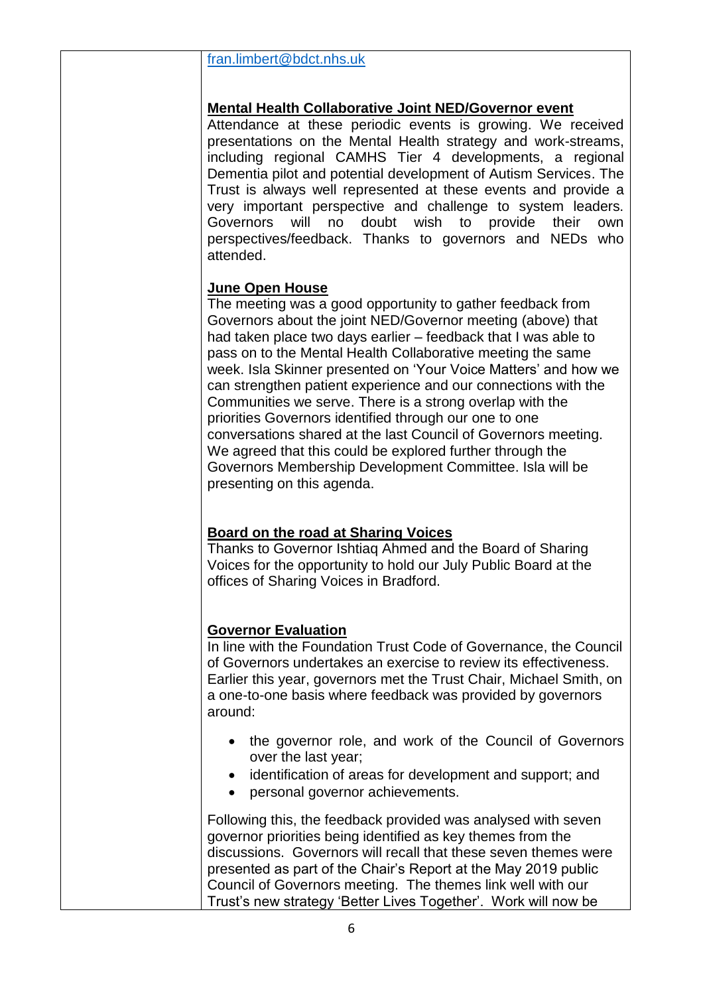## [fran.limbert@bdct.nhs.uk](mailto:fran.limbert@bdct.nhs.uk)

# **Mental Health Collaborative Joint NED/Governor event**

Attendance at these periodic events is growing. We received presentations on the Mental Health strategy and work-streams, including regional CAMHS Tier 4 developments, a regional Dementia pilot and potential development of Autism Services. The Trust is always well represented at these events and provide a very important perspective and challenge to system leaders. Governors will no doubt wish to provide their own perspectives/feedback. Thanks to governors and NEDs who attended.

# **June Open House**

The meeting was a good opportunity to gather feedback from Governors about the joint NED/Governor meeting (above) that had taken place two days earlier – feedback that I was able to pass on to the Mental Health Collaborative meeting the same week. Isla Skinner presented on 'Your Voice Matters' and how we can strengthen patient experience and our connections with the Communities we serve. There is a strong overlap with the priorities Governors identified through our one to one conversations shared at the last Council of Governors meeting. We agreed that this could be explored further through the Governors Membership Development Committee. Isla will be presenting on this agenda.

# **Board on the road at Sharing Voices**

Thanks to Governor Ishtiaq Ahmed and the Board of Sharing Voices for the opportunity to hold our July Public Board at the offices of Sharing Voices in Bradford.

## **Governor Evaluation**

In line with the Foundation Trust Code of Governance, the Council of Governors undertakes an exercise to review its effectiveness. Earlier this year, governors met the Trust Chair, Michael Smith, on a one-to-one basis where feedback was provided by governors around:

- the governor role, and work of the Council of Governors over the last year;
- identification of areas for development and support; and
- personal governor achievements.

Following this, the feedback provided was analysed with seven governor priorities being identified as key themes from the discussions. Governors will recall that these seven themes were presented as part of the Chair's Report at the May 2019 public Council of Governors meeting. The themes link well with our Trust's new strategy 'Better Lives Together'. Work will now be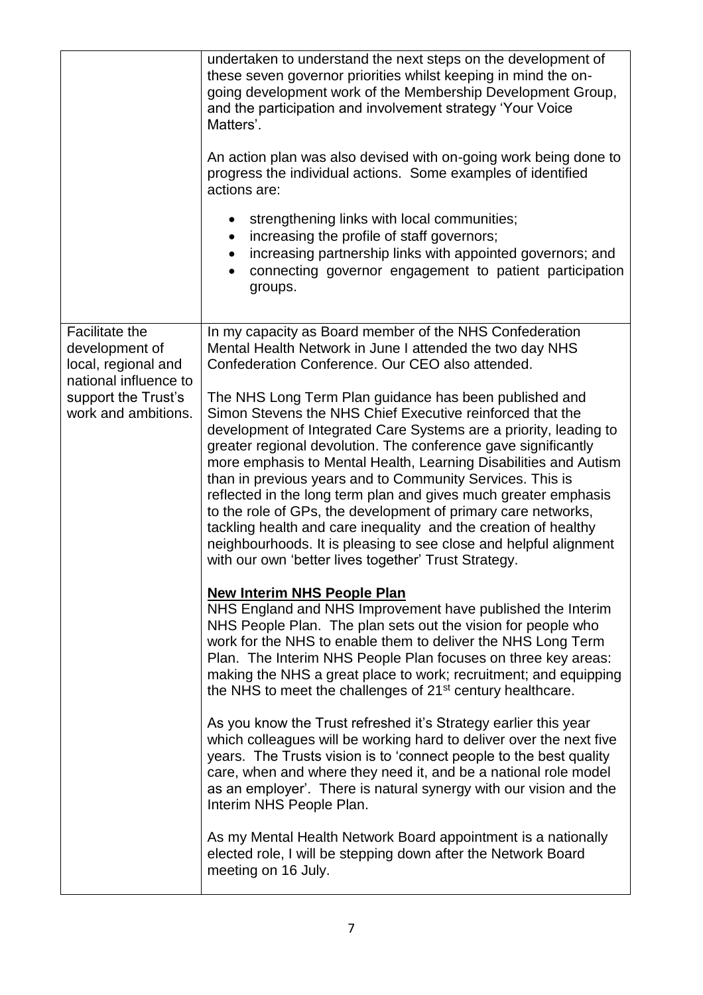|                                                                                                                                       | undertaken to understand the next steps on the development of<br>these seven governor priorities whilst keeping in mind the on-<br>going development work of the Membership Development Group,<br>and the participation and involvement strategy 'Your Voice<br>Matters'.<br>An action plan was also devised with on-going work being done to<br>progress the individual actions. Some examples of identified<br>actions are:<br>strengthening links with local communities;<br>$\bullet$<br>increasing the profile of staff governors;<br>increasing partnership links with appointed governors; and<br>connecting governor engagement to patient participation<br>groups.                                                                                                                                                                                                                                                                                                                  |
|---------------------------------------------------------------------------------------------------------------------------------------|----------------------------------------------------------------------------------------------------------------------------------------------------------------------------------------------------------------------------------------------------------------------------------------------------------------------------------------------------------------------------------------------------------------------------------------------------------------------------------------------------------------------------------------------------------------------------------------------------------------------------------------------------------------------------------------------------------------------------------------------------------------------------------------------------------------------------------------------------------------------------------------------------------------------------------------------------------------------------------------------|
| <b>Facilitate the</b><br>development of<br>local, regional and<br>national influence to<br>support the Trust's<br>work and ambitions. | In my capacity as Board member of the NHS Confederation<br>Mental Health Network in June I attended the two day NHS<br>Confederation Conference. Our CEO also attended.<br>The NHS Long Term Plan guidance has been published and<br>Simon Stevens the NHS Chief Executive reinforced that the<br>development of Integrated Care Systems are a priority, leading to<br>greater regional devolution. The conference gave significantly<br>more emphasis to Mental Health, Learning Disabilities and Autism<br>than in previous years and to Community Services. This is<br>reflected in the long term plan and gives much greater emphasis<br>to the role of GPs, the development of primary care networks,<br>tackling health and care inequality and the creation of healthy<br>neighbourhoods. It is pleasing to see close and helpful alignment<br>with our own 'better lives together' Trust Strategy.                                                                                   |
|                                                                                                                                       | <b>New Interim NHS People Plan</b><br>NHS England and NHS Improvement have published the Interim<br>NHS People Plan. The plan sets out the vision for people who<br>work for the NHS to enable them to deliver the NHS Long Term<br>Plan. The Interim NHS People Plan focuses on three key areas:<br>making the NHS a great place to work; recruitment; and equipping<br>the NHS to meet the challenges of 21 <sup>st</sup> century healthcare.<br>As you know the Trust refreshed it's Strategy earlier this year<br>which colleagues will be working hard to deliver over the next five<br>years. The Trusts vision is to 'connect people to the best quality<br>care, when and where they need it, and be a national role model<br>as an employer'. There is natural synergy with our vision and the<br>Interim NHS People Plan.<br>As my Mental Health Network Board appointment is a nationally<br>elected role, I will be stepping down after the Network Board<br>meeting on 16 July. |